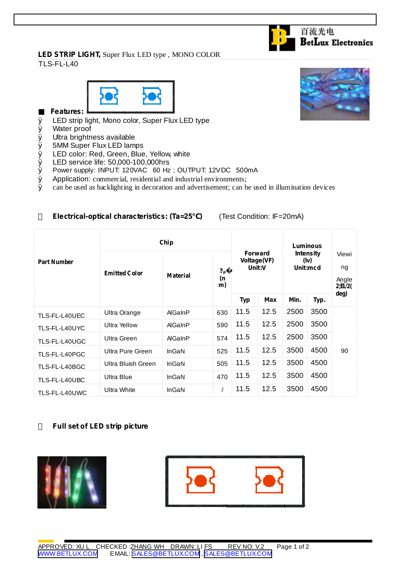### **LED STRIP LIGHT,** Super Flux LED type , MONO COLOR TLS-FL-L40



### **Features:**

- Ø LED strip light, Mono color, Super Flux LED type
- Ø Water proof
- Ø Ultra brightness available
- Ø 5MM Super Flux LED lamps
- Ø LED color: Red, Green, Blue, Yellow, white<br>Ø LED service life: 50.000-100.000hrs
- $\emptyset$  LED service life: 50,000-100,000hrs<br> $\emptyset$  Power supply: INPUT: 120VAC 60 Hz
- Power supply: INPUT: 120VAC 60 Hz; OUTPUT: 12VDC 500mA
- Ø Application: commercial, residential and industrial environments;
- Ø can be used as backlighting in decoration and advertisement; can be used in illumination devices

|                    | Chip                 |                 |                            |                                         |      | Luminous                             |      |                                                  |
|--------------------|----------------------|-----------------|----------------------------|-----------------------------------------|------|--------------------------------------|------|--------------------------------------------------|
| <b>Part Number</b> | <b>Emitted Color</b> | <b>Material</b> | ? <sub>P</sub><br>(n<br>m) | <b>Forward</b><br>Voltage(VF)<br>Unit:V |      | <b>Intensity</b><br>(lv)<br>Unit:mcd |      | Viewi<br>ng<br>Angle<br>$2 \hat{\mathbf{H}} /2($ |
|                    |                      |                 |                            | <b>Typ</b>                              | Max  | Min.                                 | Typ. | deg)                                             |
| TLS-FL-L40UEC      | Ultra Orange         | <b>AlGaInP</b>  | 630                        | 11.5                                    | 12.5 | 2500                                 | 3500 |                                                  |
| TLS-FL-L40UYC      | Ultra Yellow         | AlGaInP         | 590                        | 11.5                                    | 12.5 | 2500                                 | 3500 |                                                  |
| TLS-FL-L40UGC      | Ultra Green          | AlGaInP         | 574                        | 11.5                                    | 12.5 | 2500                                 | 3500 |                                                  |
| TLS-FL-L40PGC      | Ultra Pure Green     | InGaN           | 525                        | 11.5                                    | 12.5 | 3500                                 | 4500 | 90                                               |
| TLS-FL-L40BGC      | Ultra Bluish Green   | InGaN           | 505                        | 11.5                                    | 12.5 | 3500                                 | 4500 |                                                  |
| TLS-FL-L40UBC      | Ultra Blue           | InGaN           | 470                        | 11.5                                    | 12.5 | 3500                                 | 4500 |                                                  |
| TLS-FL-L40UWC      | <b>Ultra White</b>   | InGaN           |                            | 11.5                                    | 12.5 | 3500                                 | 4500 |                                                  |

# **Electrical-optical characteristics: (Ta=25 )** (Test Condition: IF=20mA)

# **Full set of LED strip picture**







**BetLux Electronics** 

百流光电